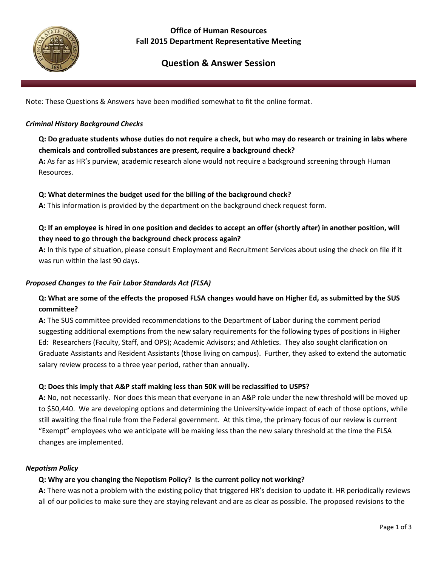

## **Office of Human Resources Fall 2015 Department Representative Meeting**

# **Question & Answer Session**

Note: These Questions & Answers have been modified somewhat to fit the online format.

#### *Criminal History Background Checks*

## **Q: Do graduate students whose duties do not require a check, but who may do research or training in labs where chemicals and controlled substances are present, require a background check?**

**A:** As far as HR's purview, academic research alone would not require a background screening through Human Resources.

#### **Q: What determines the budget used for the billing of the background check?**

**A:** This information is provided by the department on the background check request form.

## **Q: If an employee is hired in one position and decides to accept an offer (shortly after) in another position, will they need to go through the background check process again?**

**A:** In this type of situation, please consult Employment and Recruitment Services about using the check on file if it was run within the last 90 days.

#### *Proposed Changes to the Fair Labor Standards Act (FLSA)*

## **Q: What are some of the effects the proposed FLSA changes would have on Higher Ed, as submitted by the SUS committee?**

**A:** The SUS committee provided recommendations to the Department of Labor during the comment period suggesting additional exemptions from the new salary requirements for the following types of positions in Higher Ed: Researchers (Faculty, Staff, and OPS); Academic Advisors; and Athletics. They also sought clarification on Graduate Assistants and Resident Assistants (those living on campus). Further, they asked to extend the automatic salary review process to a three year period, rather than annually.

#### **Q: Does this imply that A&P staff making less than 50K will be reclassified to USPS?**

**A:** No, not necessarily. Nor does this mean that everyone in an A&P role under the new threshold will be moved up to \$50,440. We are developing options and determining the University-wide impact of each of those options, while still awaiting the final rule from the Federal government. At this time, the primary focus of our review is current "Exempt" employees who we anticipate will be making less than the new salary threshold at the time the FLSA changes are implemented.

#### *Nepotism Policy*

#### **Q: Why are you changing the Nepotism Policy? Is the current policy not working?**

**A:** There was not a problem with the existing policy that triggered HR's decision to update it. HR periodically reviews all of our policies to make sure they are staying relevant and are as clear as possible. The proposed revisions to the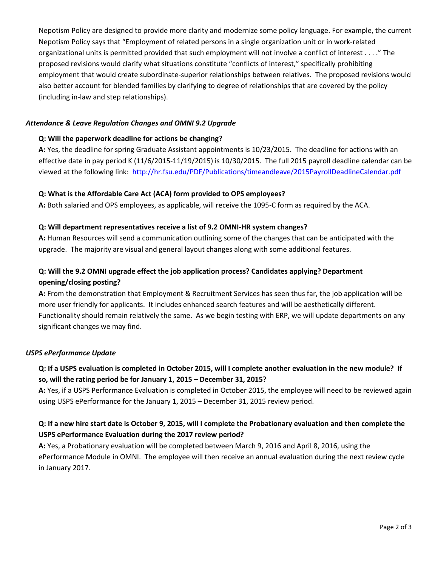Nepotism Policy are designed to provide more clarity and modernize some policy language. For example, the current Nepotism Policy says that "Employment of related persons in a single organization unit or in work-related organizational units is permitted provided that such employment will not involve a conflict of interest . . . ." The proposed revisions would clarify what situations constitute "conflicts of interest," specifically prohibiting employment that would create subordinate-superior relationships between relatives. The proposed revisions would also better account for blended families by clarifying to degree of relationships that are covered by the policy (including in-law and step relationships).

#### *Attendance & Leave Regulation Changes and OMNI 9.2 Upgrade*

#### **Q: Will the paperwork deadline for actions be changing?**

**A:** Yes, the deadline for spring Graduate Assistant appointments is 10/23/2015. The deadline for actions with an effective date in pay period K (11/6/2015-11/19/2015) is 10/30/2015. The full 2015 payroll deadline calendar can be viewed at the following link: <http://hr.fsu.edu/PDF/Publications/timeandleave/2015PayrollDeadlineCalendar.pdf>

#### **Q: What is the Affordable Care Act (ACA) form provided to OPS employees?**

**A:** Both salaried and OPS employees, as applicable, will receive the 1095-C form as required by the ACA.

#### **Q: Will department representatives receive a list of 9.2 OMNI-HR system changes?**

**A:** Human Resources will send a communication outlining some of the changes that can be anticipated with the upgrade. The majority are visual and general layout changes along with some additional features.

## **Q: Will the 9.2 OMNI upgrade effect the job application process? Candidates applying? Department opening/closing posting?**

**A:** From the demonstration that Employment & Recruitment Services has seen thus far, the job application will be more user friendly for applicants. It includes enhanced search features and will be aesthetically different. Functionality should remain relatively the same. As we begin testing with ERP, we will update departments on any significant changes we may find.

#### *USPS ePerformance Update*

## **Q: If a USPS evaluation is completed in October 2015, will I complete another evaluation in the new module? If so, will the rating period be for January 1, 2015 – December 31, 2015?**

**A:** Yes, if a USPS Performance Evaluation is completed in October 2015, the employee will need to be reviewed again using USPS ePerformance for the January 1, 2015 – December 31, 2015 review period.

## **Q: If a new hire start date is October 9, 2015, will I complete the Probationary evaluation and then complete the USPS ePerformance Evaluation during the 2017 review period?**

**A:** Yes, a Probationary evaluation will be completed between March 9, 2016 and April 8, 2016, using the ePerformance Module in OMNI. The employee will then receive an annual evaluation during the next review cycle in January 2017.